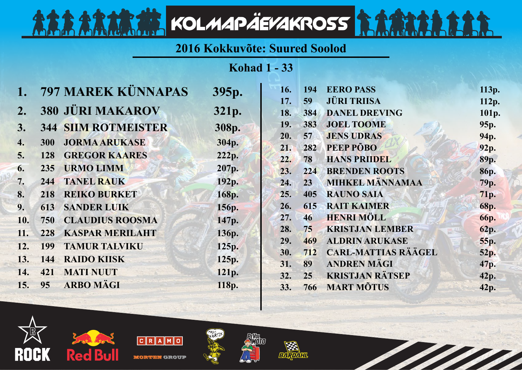## **2016 Kokkuvõte: Suured Soolod**

KOLMAPÄEVAKROSS

**Kohad 1 - 33**

|                  |            | 797 MAREK KÜNNAPAS         | 395p. | 16. | 194             | <b>EERO PASS</b>           | 113p.             |
|------------------|------------|----------------------------|-------|-----|-----------------|----------------------------|-------------------|
|                  |            |                            |       | 17. | 59              | <b>JÜRI TRIISA</b>         | 112p.             |
| $\overline{2}$ . |            | <b>380 JÜRI MAKAROV</b>    | 321p. | 18. | 384             | <b>DANEL DREVING</b>       | 101p.             |
| 3.               |            | <b>344 SIIM ROTMEISTER</b> | 308p. | 19. | 383             | <b>JOEL TOOME</b>          | 95 <sub>p</sub> . |
| 4.               | <b>300</b> | <b>JORMA ARUKASE</b>       | 304p. | 20. | 57              | <b>JENS UDRAS</b>          | 94p.              |
|                  |            |                            |       | 21. | 282             | PEEP PÕBO                  | 92p.              |
| 5.               | 128        | <b>GREGOR KAARES</b>       | 222p. | 22. | 78              | <b>HANS PRIIDEL</b>        | 89p.              |
| 6.               | 235        | <b>URMO LIMM</b>           | 207p. | 23. | 224             | <b>BRENDEN ROOTS</b>       | 86p.              |
| 7.               | 244        | <b>TANEL RAUK</b>          | 192p. | 24. | 23 <sub>2</sub> | <b>MIHKEL MÄNNAMAA</b>     | 79p.              |
| 8.               | 218        | <b>REIKO BURKET</b>        | 168p. | 25. | 405             | <b>RAUNO SAIA</b>          | 71p.              |
| 9.               | 613        | <b>SANDER LUIK</b>         | 156p. | 26. | 615             | <b>RAIT KAIMER</b>         | <b>68p.</b>       |
| 10.              | 750        | <b>CLAUDIUS ROOSMA</b>     | 147p. | 27. | 46              | <b>HENRI MÖLL</b>          | <b>66p.</b>       |
| 11.              | 228        | <b>KASPAR MERILAHT</b>     | 136p. | 28. | 75              | <b>KRISTJAN LEMBER</b>     | 62p.              |
| 12.              | 199        | <b>TAMUR TALVIKU</b>       | 125p. | 29. | 469             | <b>ALDRIN ARUKASE</b>      | <b>55p.</b>       |
|                  |            |                            |       | 30. | 712             | <b>CARL-MATTIAS RÄÄGEL</b> | 52p.              |
| 13.              | 144        | <b>RAIDO KIISK</b>         | 125p. | 31. | 89              | <b>ANDREN MÄGI</b>         | 47p.              |
| 14.              | 421        | <b>MATI NUUT</b>           | 121p. | 32. | 25              | <b>KRISTJAN RÄTSEP</b>     | 42p.              |
| 15.              | 95         | <b>ARBO MÄGI</b>           | 118p. | 33. | 766             | <b>MART MÕTUS</b>          | 42p.              |
|                  |            |                            |       |     |                 |                            |                   |